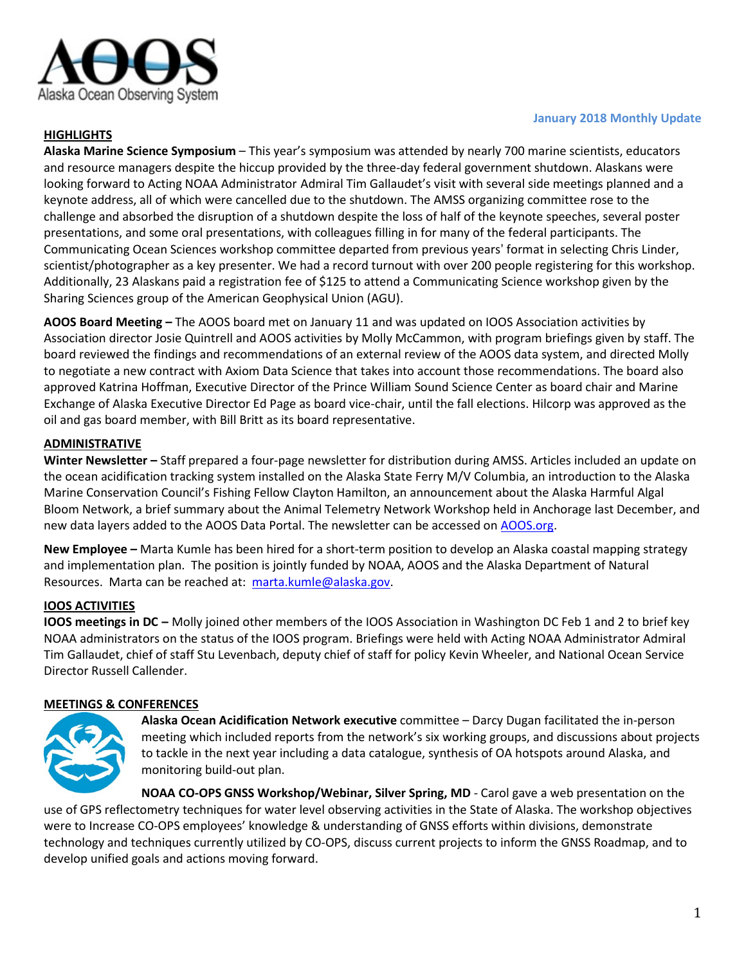

## **HIGHLIGHTS**

#### **January 2018 Monthly Update**

**Alaska Marine Science Symposium** – This year's symposium was attended by nearly 700 marine scientists, educators and resource managers despite the hiccup provided by the three-day federal government shutdown. Alaskans were looking forward to Acting NOAA Administrator Admiral Tim Gallaudet's visit with several side meetings planned and a keynote address, all of which were cancelled due to the shutdown. The AMSS organizing committee rose to the challenge and absorbed the disruption of a shutdown despite the loss of half of the keynote speeches, several poster presentations, and some oral presentations, with colleagues filling in for many of the federal participants. The Communicating Ocean Sciences workshop committee departed from previous years' format in selecting Chris Linder, scientist/photographer as a key presenter. We had a record turnout with over 200 people registering for this workshop. Additionally, 23 Alaskans paid a registration fee of \$125 to attend a Communicating Science workshop given by the Sharing Sciences group of the American Geophysical Union (AGU).

**AOOS Board Meeting –** The AOOS board met on January 11 and was updated on IOOS Association activities by Association director Josie Quintrell and AOOS activities by Molly McCammon, with program briefings given by staff. The board reviewed the findings and recommendations of an external review of the AOOS data system, and directed Molly to negotiate a new contract with Axiom Data Science that takes into account those recommendations. The board also approved Katrina Hoffman, Executive Director of the Prince William Sound Science Center as board chair and Marine Exchange of Alaska Executive Director Ed Page as board vice-chair, until the fall elections. Hilcorp was approved as the oil and gas board member, with Bill Britt as its board representative.

## **ADMINISTRATIVE**

**Winter Newsletter –** Staff prepared a four-page newsletter for distribution during AMSS. Articles included an update on the ocean acidification tracking system installed on the Alaska State Ferry M/V Columbia, an introduction to the Alaska Marine Conservation Council's Fishing Fellow Clayton Hamilton, an announcement about the Alaska Harmful Algal Bloom Network, a brief summary about the Animal Telemetry Network Workshop held in Anchorage last December, and new data layers added to the AOOS Data Portal. The newsletter can be accessed on [AOOS.org.](http://www.aoos.org/newsletters-and-executive-updates/)

**New Employee –** Marta Kumle has been hired for a short-term position to develop an Alaska coastal mapping strategy and implementation plan. The position is jointly funded by NOAA, AOOS and the Alaska Department of Natural Resources. Marta can be reached at: [marta.kumle@alaska.gov.](mailto:marta.kumle@alaska.gov)

## **IOOS ACTIVITIES**

**IOOS meetings in DC –** Molly joined other members of the IOOS Association in Washington DC Feb 1 and 2 to brief key NOAA administrators on the status of the IOOS program. Briefings were held with Acting NOAA Administrator Admiral Tim Gallaudet, chief of staff Stu Levenbach, deputy chief of staff for policy Kevin Wheeler, and National Ocean Service Director Russell Callender.

#### **MEETINGS & CONFERENCES**



**Alaska Ocean Acidification Network executive** committee – Darcy Dugan facilitated the in-person meeting which included reports from the network's six working groups, and discussions about projects to tackle in the next year including a data catalogue, synthesis of OA hotspots around Alaska, and monitoring build-out plan.

**NOAA CO-OPS GNSS Workshop/Webinar, Silver Spring, MD** - Carol gave a web presentation on the use of GPS reflectometry techniques for water level observing activities in the State of Alaska. The workshop objectives were to Increase CO-OPS employees' knowledge & understanding of GNSS efforts within divisions, demonstrate technology and techniques currently utilized by CO-OPS, discuss current projects to inform the GNSS Roadmap, and to develop unified goals and actions moving forward.